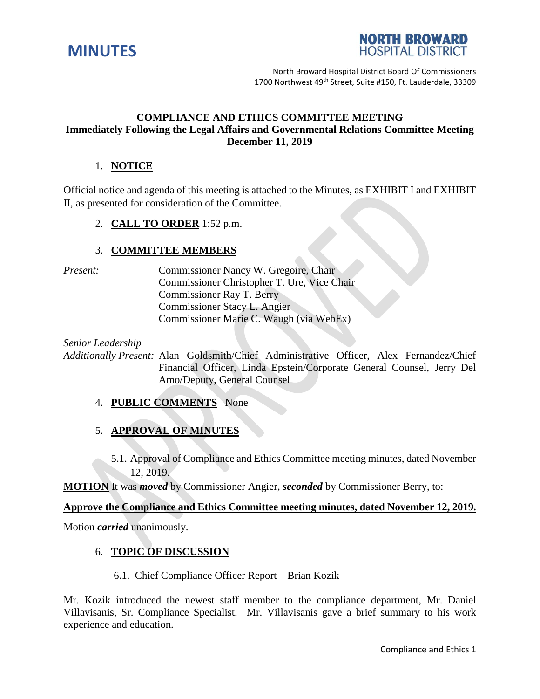



North Broward Hospital District Board Of Commissioners 1700 Northwest 49<sup>th</sup> Street, Suite #150, Ft. Lauderdale, 33309

## **COMPLIANCE AND ETHICS COMMITTEE MEETING Immediately Following the Legal Affairs and Governmental Relations Committee Meeting December 11, 2019**

# 1. **NOTICE**

Official notice and agenda of this meeting is attached to the Minutes, as EXHIBIT I and EXHIBIT II, as presented for consideration of the Committee.

2. **CALL TO ORDER** 1:52 p.m.

## 3. **COMMITTEE MEMBERS**

*Present:* Commissioner Nancy W. Gregoire, Chair Commissioner Christopher T. Ure, Vice Chair Commissioner Ray T. Berry Commissioner Stacy L. Angier Commissioner Marie C. Waugh (via WebEx)

*Senior Leadership*

*Additionally Present:* Alan Goldsmith/Chief Administrative Officer, Alex Fernandez/Chief Financial Officer, Linda Epstein/Corporate General Counsel, Jerry Del Amo/Deputy, General Counsel

## 4. **PUBLIC COMMENTS** None

## 5. **APPROVAL OF MINUTES**

5.1. Approval of Compliance and Ethics Committee meeting minutes, dated November 12, 2019.

**MOTION** It was *moved* by Commissioner Angier, *seconded* by Commissioner Berry, to:

#### **Approve the Compliance and Ethics Committee meeting minutes, dated November 12, 2019.**

Motion *carried* unanimously.

#### 6. **TOPIC OF DISCUSSION**

6.1. Chief Compliance Officer Report – Brian Kozik

Mr. Kozik introduced the newest staff member to the compliance department, Mr. Daniel Villavisanis, Sr. Compliance Specialist. Mr. Villavisanis gave a brief summary to his work experience and education.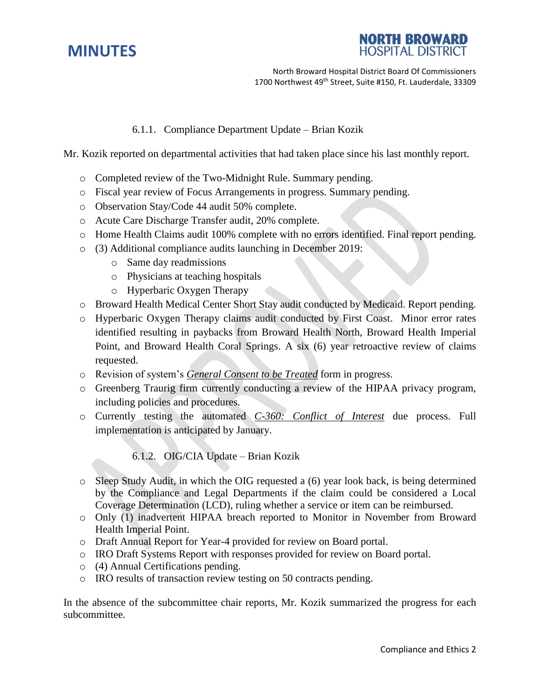# **MINUTES**



North Broward Hospital District Board Of Commissioners 1700 Northwest 49<sup>th</sup> Street, Suite #150, Ft. Lauderdale, 33309

## 6.1.1. Compliance Department Update – Brian Kozik

Mr. Kozik reported on departmental activities that had taken place since his last monthly report.

- o Completed review of the Two-Midnight Rule. Summary pending.
- o Fiscal year review of Focus Arrangements in progress. Summary pending.
- o Observation Stay/Code 44 audit 50% complete.
- o Acute Care Discharge Transfer audit, 20% complete.
- o Home Health Claims audit 100% complete with no errors identified. Final report pending.
- o (3) Additional compliance audits launching in December 2019:
	- o Same day readmissions
	- o Physicians at teaching hospitals
	- o Hyperbaric Oxygen Therapy
- o Broward Health Medical Center Short Stay audit conducted by Medicaid. Report pending.
- o Hyperbaric Oxygen Therapy claims audit conducted by First Coast. Minor error rates identified resulting in paybacks from Broward Health North, Broward Health Imperial Point, and Broward Health Coral Springs. A six (6) year retroactive review of claims requested.
- o Revision of system's *General Consent to be Treated* form in progress.
- o Greenberg Traurig firm currently conducting a review of the HIPAA privacy program, including policies and procedures.
- o Currently testing the automated *C-360: Conflict of Interest* due process. Full implementation is anticipated by January.

6.1.2. OIG/CIA Update – Brian Kozik

- o Sleep Study Audit, in which the OIG requested a (6) year look back, is being determined by the Compliance and Legal Departments if the claim could be considered a Local Coverage Determination (LCD), ruling whether a service or item can be reimbursed.
- o Only (1) inadvertent HIPAA breach reported to Monitor in November from Broward Health Imperial Point.
- o Draft Annual Report for Year-4 provided for review on Board portal.
- o IRO Draft Systems Report with responses provided for review on Board portal.
- o (4) Annual Certifications pending.
- o IRO results of transaction review testing on 50 contracts pending.

In the absence of the subcommittee chair reports, Mr. Kozik summarized the progress for each subcommittee.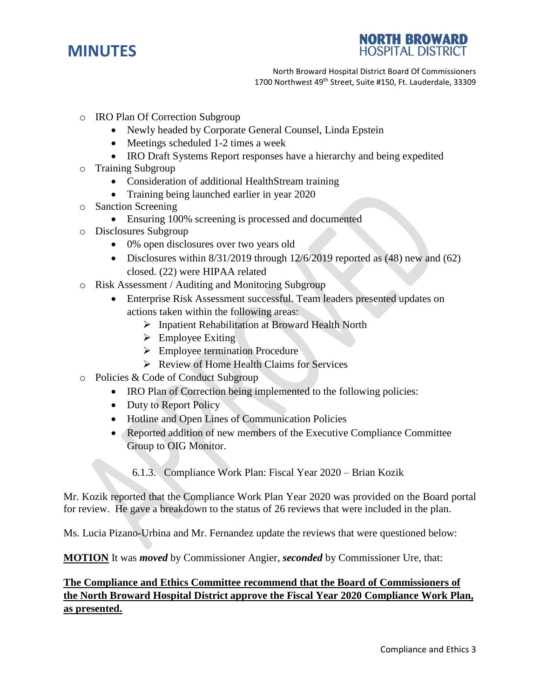



North Broward Hospital District Board Of Commissioners 1700 Northwest 49<sup>th</sup> Street, Suite #150, Ft. Lauderdale, 33309

- o IRO Plan Of Correction Subgroup
	- Newly headed by Corporate General Counsel, Linda Epstein
	- Meetings scheduled 1-2 times a week
	- IRO Draft Systems Report responses have a hierarchy and being expedited
- o Training Subgroup
	- Consideration of additional HealthStream training
	- Training being launched earlier in year 2020
- o Sanction Screening
	- Ensuring 100% screening is processed and documented
- o Disclosures Subgroup
	- 0% open disclosures over two years old
	- Disclosures within  $8/31/2019$  through  $12/6/2019$  reported as (48) new and (62) closed. (22) were HIPAA related
- o Risk Assessment / Auditing and Monitoring Subgroup
	- Enterprise Risk Assessment successful. Team leaders presented updates on actions taken within the following areas:
		- $\triangleright$  Inpatient Rehabilitation at Broward Health North
		- $\triangleright$  Employee Exiting
		- $\triangleright$  Employee termination Procedure
		- $\triangleright$  Review of Home Health Claims for Services
- o Policies & Code of Conduct Subgroup
	- IRO Plan of Correction being implemented to the following policies:
	- Duty to Report Policy
	- Hotline and Open Lines of Communication Policies
	- Reported addition of new members of the Executive Compliance Committee Group to OIG Monitor.
		- 6.1.3. Compliance Work Plan: Fiscal Year 2020 Brian Kozik

Mr. Kozik reported that the Compliance Work Plan Year 2020 was provided on the Board portal for review. He gave a breakdown to the status of 26 reviews that were included in the plan.

Ms. Lucia Pizano-Urbina and Mr. Fernandez update the reviews that were questioned below:

**MOTION** It was *moved* by Commissioner Angier, *seconded* by Commissioner Ure, that:

# **The Compliance and Ethics Committee recommend that the Board of Commissioners of the North Broward Hospital District approve the Fiscal Year 2020 Compliance Work Plan, as presented.**